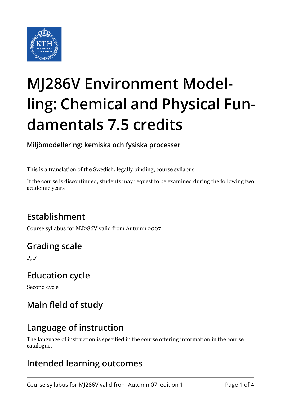

# **MJ286V Environment Modelling: Chemical and Physical Fundamentals 7.5 credits**

**Miljömodellering: kemiska och fysiska processer**

This is a translation of the Swedish, legally binding, course syllabus.

If the course is discontinued, students may request to be examined during the following two academic years

# **Establishment**

Course syllabus for MJ286V valid from Autumn 2007

# **Grading scale**

P, F

#### **Education cycle**

Second cycle

# **Main field of study**

#### **Language of instruction**

The language of instruction is specified in the course offering information in the course catalogue.

## **Intended learning outcomes**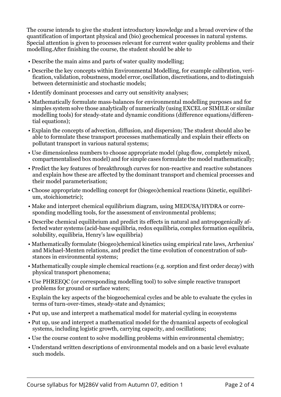The course intends to give the student introductory knowledge and a broad overview of the quantification of important physical and (bio) geochemical processes in natural systems. Special attention is given to processes relevant for current water quality problems and their modelling.After finishing the course, the student should be able to

- Describe the main aims and parts of water quality modelling;
- Describe the key concepts within Environmental Modelling, for example calibration, verification, validation, robustness, model error, oscillation, discretisations, and to distinguish between deterministic and stochastic models;
- Identify dominant processes and carry out sensitivity analyses;
- Mathematically formulate mass-balances for environmental modelling purposes and for simples system solve those analytically of numerically (using EXCEL or SIMILE or similar modelling tools) for steady-state and dynamic conditions (difference equations/differential equations);
- Explain the concepts of advection, diffusion, and dispersion; The student should also be able to formulate these transport processes mathematically and explain their effects on pollutant transport in various natural systems;
- Use dimensionless numbers to choose appropriate model (plug-flow, completely mixed, compartmentalised box model) and for simple cases formulate the model mathematically;
- Predict the key features of breakthrough curves for non-reactive and reactive substances and explain how these are affected by the dominant transport and chemical processes and their model parameterisation;
- Choose appropriate modelling concept for (biogeo)chemical reactions (kinetic, equilibrium, stoichiometric);
- Make and interpret chemical equilibrium diagram, using MEDUSA/HYDRA or corresponding modelling tools, for the assessment of environmental problems;
- Describe chemical equilibrium and predict its effects in natural and antropogenically affected water systems (acid-base equilibria, redox equilibria, complex formation equilibria, solubility, equilibria, Henry's law equilibria)
- Mathematically formulate (biogeo)chemical kinetics using empirical rate laws, Arrhenius' and Michael-Menten relations, and predict the time evolution of concentration of substances in environmental systems;
- Mathematically couple simple chemical reactions (e.g. sorption and first order decay) with physical transport phenomena;
- Use PHREEQC (or corresponding modelling tool) to solve simple reactive transport problems for ground or surface waters;
- Explain the key aspects of the biogeochemical cycles and be able to evaluate the cycles in terms of turn-over-times, steady-state and dynamics;
- Put up, use and interpret a mathematical model for material cycling in ecosystems
- Put up, use and interpret a mathematical model for the dynamical aspects of ecological systems, including logistic growth, carrying capacity, and oscillations;
- Use the course content to solve modelling problems within environmental chemistry;
- Understand written descriptions of environmental models and on a basic level evaluate such models.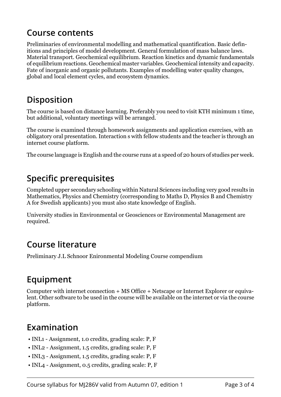#### **Course contents**

Preliminaries of environmental modelling and mathematical quantification. Basic definitions and principles of model development. General formulation of mass balance laws. Material transport. Geochemical equilibrium. Reaction kinetics and dynamic fundamentals of equilibrium reactions. Geochemical master variables. Geochemical intensity and capacity. Fate of inorganic and organic pollutants. Examples of modelling water quality changes, global and local element cycles, and ecosystem dynamics.

#### **Disposition**

The course is based on distance learning. Preferably you need to visit KTH minimum 1 time, but additional, voluntary meetings will be arranged.

The course is examined through homework assignments and application exercises, with an obligatory oral presentation. Interaction s with fellow students and the teacher is through an internet course platform.

The course language is English and the course runs at a speed of 20 hours of studies per week.

## **Specific prerequisites**

Completed upper secondary schooling within Natural Sciences including very good results in Mathematics, Physics and Chemistry (corresponding to Maths D, Physics B and Chemistry A for Swedish applicants) you must also state knowledge of English.

University studies in Environmental or Geosciences or Environmental Management are required.

#### **Course literature**

Preliminary J.L Schnoor Enironmental Modeling Course compendium

## **Equipment**

Computer with internet connection + MS Office + Netscape or Internet Explorer or equivalent. Other software to be used in the course will be available on the internet or via the course platform.

#### **Examination**

- INL1 Assignment, 1.0 credits, grading scale: P, F
- INL2 Assignment, 1.5 credits, grading scale: P, F
- INL3 Assignment, 1.5 credits, grading scale: P, F
- INL4 Assignment, 0.5 credits, grading scale: P, F